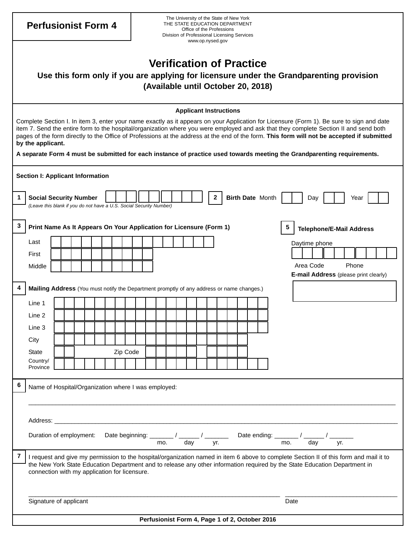| <b>Perfusionist Form 4</b>                                                                                                                                                                                                                                                                                                                                                                                                                                                                                                                                                                                        | The University of the State of New York<br>THE STATE EDUCATION DEPARTMENT<br>Office of the Professions<br>Division of Professional Licensing Services<br>www.op.nysed.gov                                         |  |
|-------------------------------------------------------------------------------------------------------------------------------------------------------------------------------------------------------------------------------------------------------------------------------------------------------------------------------------------------------------------------------------------------------------------------------------------------------------------------------------------------------------------------------------------------------------------------------------------------------------------|-------------------------------------------------------------------------------------------------------------------------------------------------------------------------------------------------------------------|--|
| <b>Verification of Practice</b><br>Use this form only if you are applying for licensure under the Grandparenting provision<br>(Available until October 20, 2018)                                                                                                                                                                                                                                                                                                                                                                                                                                                  |                                                                                                                                                                                                                   |  |
| <b>Applicant Instructions</b><br>Complete Section I. In item 3, enter your name exactly as it appears on your Application for Licensure (Form 1). Be sure to sign and date<br>item 7. Send the entire form to the hospital/organization where you were employed and ask that they complete Section II and send both<br>pages of the form directly to the Office of Professions at the address at the end of the form. This form will not be accepted if submitted<br>by the applicant.<br>A separate Form 4 must be submitted for each instance of practice used towards meeting the Grandparenting requirements. |                                                                                                                                                                                                                   |  |
| <b>Section I: Applicant Information</b><br>1<br><b>Social Security Number</b><br>(Leave this blank if you do not have a U.S. Social Security Number)                                                                                                                                                                                                                                                                                                                                                                                                                                                              | Birth Date Month<br>$\mathbf{2}$<br>Day<br>Year                                                                                                                                                                   |  |
| 3<br>Print Name As It Appears On Your Application for Licensure (Form 1)<br>Last<br>First<br>Middle<br>Line 1<br>Line 2                                                                                                                                                                                                                                                                                                                                                                                                                                                                                           | 5<br><b>Telephone/E-Mail Address</b><br>Daytime phone<br>Area Code<br>Phone<br>E-mail Address (please print clearly)<br>Mailing Address (You must notify the Department promptly of any address or name changes.) |  |
| Line 3<br>City<br>Zip Code<br><b>State</b><br>Country/<br>Province<br>6<br>Name of Hospital/Organization where I was employed:                                                                                                                                                                                                                                                                                                                                                                                                                                                                                    |                                                                                                                                                                                                                   |  |
| Address: experience of the contract of the contract of the contract of the contract of the contract of the contract of the contract of the contract of the contract of the contract of the contract of the contract of the con<br>Duration of employment: Date beginning: ______ / ______ / ______ Date ending: ______ / _<br>mo. day yr. Date ending: _____ / _____<br>$\overline{yr}$ .<br>day                                                                                                                                                                                                                  |                                                                                                                                                                                                                   |  |
| 7<br>I request and give my permission to the hospital/organization named in item 6 above to complete Section II of this form and mail it to<br>the New York State Education Department and to release any other information required by the State Education Department in<br>connection with my application for licensure.                                                                                                                                                                                                                                                                                        |                                                                                                                                                                                                                   |  |
| Signature of applicant                                                                                                                                                                                                                                                                                                                                                                                                                                                                                                                                                                                            | Date<br>Perfusionist Form 4, Page 1 of 2, October 2016                                                                                                                                                            |  |